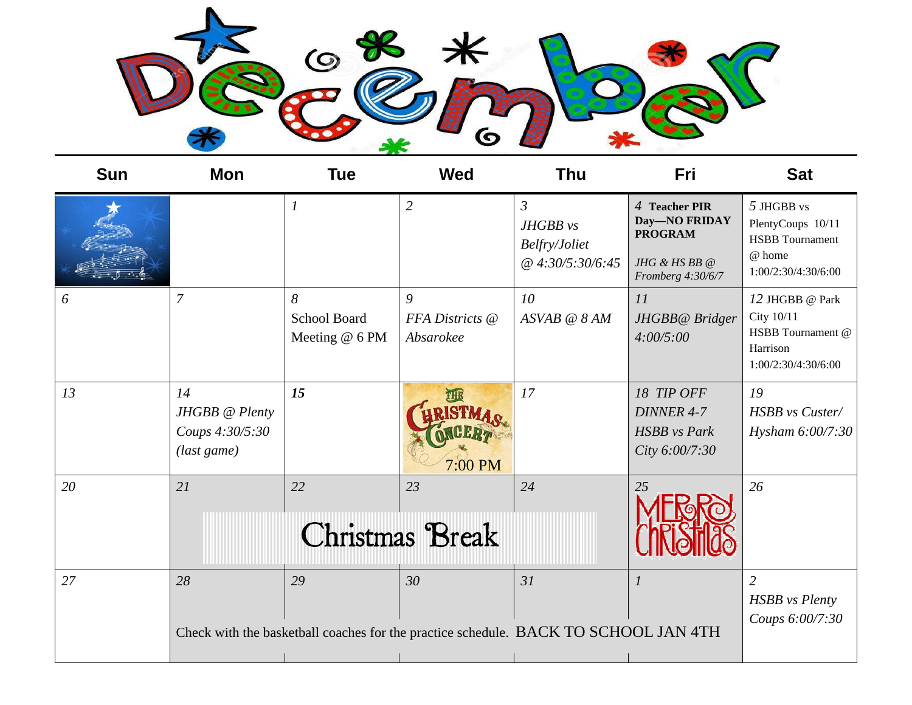

| <b>Sun</b> | Mon                                                    | <b>Tue</b>                                 | <b>Wed</b>                        | Thu                                                                                       | Fri                                                                                    | <b>Sat</b>                                                                                 |
|------------|--------------------------------------------------------|--------------------------------------------|-----------------------------------|-------------------------------------------------------------------------------------------|----------------------------------------------------------------------------------------|--------------------------------------------------------------------------------------------|
|            |                                                        | $\boldsymbol{l}$                           | $\overline{2}$                    | $\mathfrak{Z}$<br>JHGBB vs<br>Belfry/Joliet<br>@ 4:30/5:30/6:45                           | 4 Teacher PIR<br>Day-NO FRIDAY<br><b>PROGRAM</b><br>JHG & HS BB @<br>Fromberg 4:30/6/7 | 5 JHGBB vs<br>PlentyCoups 10/11<br><b>HSBB</b> Tournament<br>@ home<br>1:00/2:30/4:30/6:00 |
| 6          | $\overline{7}$                                         | 8<br><b>School Board</b><br>Meeting @ 6 PM | 9<br>FFA Districts @<br>Absarokee | 10<br>ASVAB @ 8 AM                                                                        | 11<br>JHGBB@ Bridger<br>4:00/5:00                                                      | 12 JHGBB @ Park<br>City 10/11<br>HSBB Tournament @<br>Harrison<br>1:00/2:30/4:30/6:00      |
| 13         | 14<br>JHGBB @ Plenty<br>Coups 4:30/5:30<br>(last game) | 15                                         | 7:00 PM                           | 17                                                                                        | 18 TIP OFF<br><b>DINNER 4-7</b><br><b>HSBB</b> vs Park<br>City 6:00/7:30               | 19<br>HSBB vs Custer/<br>Hysham 6:00/7:30                                                  |
| 20         | 21                                                     | 22                                         | 23<br>Christmas Break             | 24                                                                                        | 25                                                                                     | 26                                                                                         |
| 27         | 28                                                     | 29                                         | 30                                | 31<br>Check with the basketball coaches for the practice schedule. BACK TO SCHOOL JAN 4TH | 1                                                                                      | $\overline{2}$<br><b>HSBB</b> vs Plenty<br>Coups 6:00/7:30                                 |